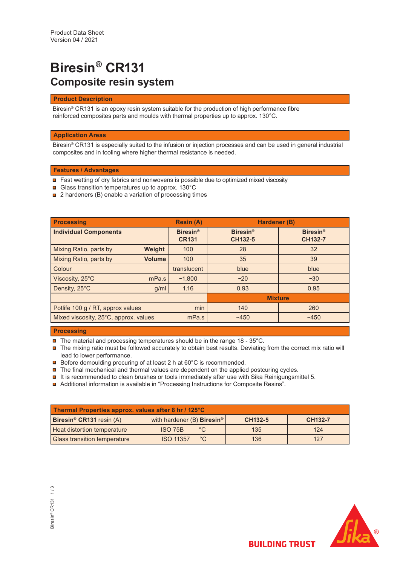# **Biresin® CR131 Composite resin system**

## **Product Description**

Biresin® CR131 is an epoxy resin system suitable for the production of high performance fibre reinforced composites parts and moulds with thermal properties up to approx. 130°C.

# **Application Areas**

Biresin® CR131 is especially suited to the infusion or injection processes and can be used in general industrial composites and in tooling where higher thermal resistance is needed.

# **Features / Advantages**

- Fast wetting of dry fabrics and nonwovens is possible due to optimized mixed viscosity
- **G** Glass transition temperatures up to approx. 130°C
- **□** 2 hardeners (B) enable a variation of processing times

| <b>Processing</b>                              | <b>Resin (A)</b>                | Hardener (B)                      |                                   |
|------------------------------------------------|---------------------------------|-----------------------------------|-----------------------------------|
| <b>Individual Components</b>                   | <b>Biresin®</b><br><b>CR131</b> | <b>Biresin®</b><br><b>CH132-5</b> | <b>Biresin®</b><br><b>CH132-7</b> |
| Weight<br>Mixing Ratio, parts by               | 100                             | 28                                | 32                                |
| Mixing Ratio, parts by<br><b>Volume</b>        | 100                             | 35                                | 39                                |
| Colour                                         | translucent                     | blue                              | blue                              |
| Viscosity, 25°C<br>mPa.s                       | ~1.800                          | ~20                               | $~1$ $~30$                        |
| Density, 25°C<br>g/ml                          | 1.16                            | 0.93                              | 0.95                              |
|                                                |                                 | <b>Mixture</b>                    |                                   |
| min<br>Potlife 100 g / RT, approx values       |                                 | 140                               | 260                               |
| Mixed viscosity, 25°C, approx. values<br>mPa.s |                                 | ~1450                             | ~1450                             |
|                                                |                                 |                                   |                                   |

## **Processing**

- $\blacksquare$  The material and processing temperatures should be in the range 18 35°C.
- The mixing ratio must be followed accurately to obtain best results. Deviating from the correct mix ratio will lead to lower performance.
- **□** Before demoulding precuring of at least 2 h at 60°C is recommended.
- $\blacksquare$  The final mechanical and thermal values are dependent on the applied postcuring cycles.
- $\blacksquare$  It is recommended to clean brushes or tools immediately after use with Sika Reinigungsmittel 5.
- Additional information is available in "Processing Instructions for Composite Resins".

| Thermal Properties approx. values after 8 hr / 125°C |                                               |                |         |  |  |
|------------------------------------------------------|-----------------------------------------------|----------------|---------|--|--|
| Biresin <sup>®</sup> CR131 resin (A)                 | with hardener (B) <b>Biresin</b> <sup>®</sup> | <b>CH132-5</b> | CH132-7 |  |  |
| Heat distortion temperature                          | $^{\circ}C$<br>ISO 75B                        | 135            | 124     |  |  |
| <b>Glass transition temperature</b>                  | <b>ISO 11357</b><br>$^{\circ}C$               | 136            | 127     |  |  |

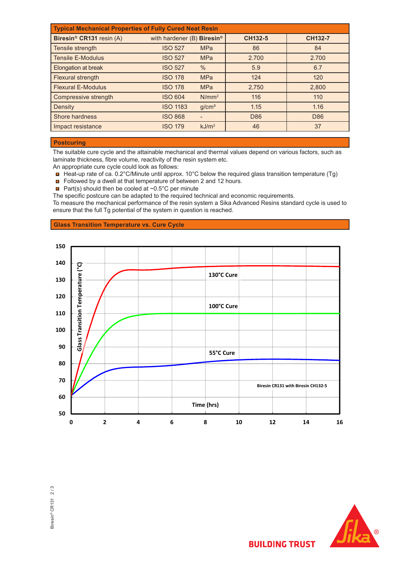| <b>Typical Mechanical Properties of Fully Cured Neat Resin</b> |                                               |                   |                 |                 |  |  |
|----------------------------------------------------------------|-----------------------------------------------|-------------------|-----------------|-----------------|--|--|
| Biresin <sup>®</sup> CR131 resin (A)                           | with hardener (B) <b>Biresin</b> <sup>®</sup> |                   | <b>CH132-5</b>  | <b>CH132-7</b>  |  |  |
| Tensile strength                                               | <b>ISO 527</b>                                | <b>MPa</b>        | 86              | 84              |  |  |
| <b>Tensile E-Modulus</b>                                       | <b>ISO 527</b>                                | <b>MPa</b>        | 2.700           | 2.700           |  |  |
| Elongation at break                                            | <b>ISO 527</b>                                | $\%$              | 5.9             | 6.7             |  |  |
| <b>Flexural strength</b>                                       | <b>ISO 178</b>                                | <b>MPa</b>        | 124             | 120             |  |  |
| <b>Flexural E-Modulus</b>                                      | <b>ISO 178</b>                                | <b>MPa</b>        | 2,750           | 2,800           |  |  |
| Compressive strength                                           | <b>ISO 604</b>                                | $N/mm^2$          | 116             | 110             |  |  |
| Density                                                        | <b>ISO 1183</b>                               | g/cm <sup>3</sup> | 1.15            | 1.16            |  |  |
| Shore hardness                                                 | <b>ISO 868</b>                                |                   | D <sub>86</sub> | D <sub>86</sub> |  |  |
| Impact resistance                                              | <b>ISO 179</b>                                | kJ/m <sup>2</sup> | 46              | 37              |  |  |

# **Postcuring**

The suitable cure cycle and the attainable mechanical and thermal values depend on various factors, such as laminate thickness, fibre volume, reactivity of the resin system etc.

An appropriate cure cycle could look as follows:

- $\blacksquare$  Heat-up rate of ca. 0.2°C/Minute until approx. 10°C below the required glass transition temperature (Tg)
- Followed by a dwell at that temperature of between 2 and 12 hours.
- **Part(s)** should then be cooled at  $\sim 0.5^{\circ}$ C per minute

The specific postcure can be adapted to the required technical and economic requirements.

To measure the mechanical performance of the resin system a Sika Advanced Resins standard cycle is used to ensure that the full Tg potential of the system in question is reached.

# **Glass Transition Temperature vs. Cure Cycle**





Biresin® CR131 2/3

3iresin® CR131 2/3



**BUILDING TRUST**